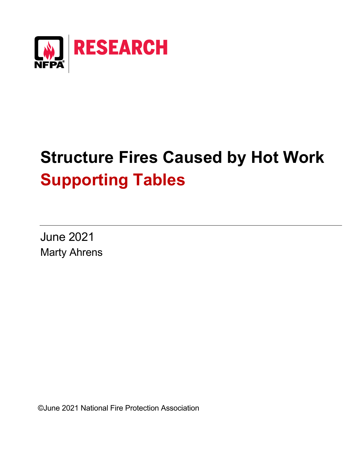

# **Structure Fires Caused by Hot Work Supporting Tables**

June 2021 Marty Ahrens

©June 2021 National Fire Protection Association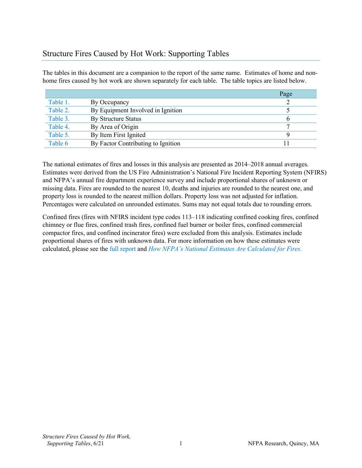## [Structure Fires Caused by Hot Work: Supporting Tables](https://www.nfpa.org/News-and-Research/Data-research-and-tools/US-Fire-Problem/Cooking-equipment)

The tables in this document are a companion to the report of the same name. Estimates of home and nonhome fires caused by hot work are shown separately for each table. The table topics are listed below.

|          |                                    | Page |
|----------|------------------------------------|------|
| Table 1. | By Occupancy                       |      |
| Table 2. | By Equipment Involved in Ignition  |      |
| Table 3. | <b>By Structure Status</b>         | b    |
| Table 4. | By Area of Origin                  |      |
| Table 5. | By Item First Ignited              |      |
| Table 6  | By Factor Contributing to Ignition |      |

The national estimates of fires and losses in this analysis are presented as 2014–2018 annual averages. Estimates were derived from the US Fire Administration's National Fire Incident Reporting System (NFIRS) and NFPA's annual fire department experience survey and include proportional shares of unknown or missing data. Fires are rounded to the nearest 10, deaths and injuries are rounded to the nearest one, and property loss is rounded to the nearest million dollars. Property loss was not adjusted for inflation. Percentages were calculated on unrounded estimates. Sums may not equal totals due to rounding errors.

Confined fires (fires with NFIRS incident type codes 113–118 indicating confined cooking fires, confined chimney or flue fires, confined trash fires, confined fuel burner or boiler fires, confined commercial compactor fires, and confined incinerator fires) were excluded from this analysis. Estimates include proportional shares of fires with unknown data. For more information on how these estimates were calculated, please see the [full report](https://www.nfpa.org/News-and-Research/Data-research-and-tools/US-Fire-Problem/Structure-Fires-Started-by-Hot-Work) and *[How NFPA's National Estimates Are Calculated for Fires.](https://www.nfpa.org/%7E/media/Files/News%20and%20Research/Fire%20statistics%20and%20reports/NFPA%20estimates%20and%20methodology/HowNationalEstimatesAreCalculated.ashx)*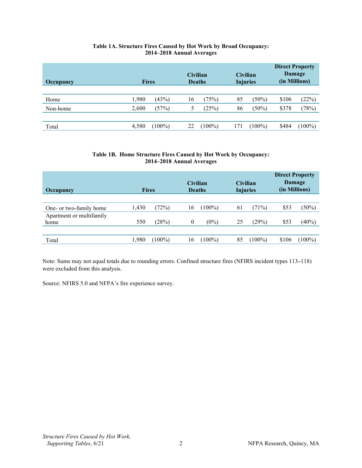#### **Table 1A. Structure Fires Caused by Hot Work by Broad Occupancy: 2014–2018 Annual Averages**

<span id="page-2-0"></span>

| <b>Occupancy</b> | <b>Fires</b> |           | <b>Civilian</b><br><b>Deaths</b> |           | <b>Civilian</b><br><b>Injuries</b> |           | <b>Direct Property</b><br>Damage<br>(in Millions) |         |
|------------------|--------------|-----------|----------------------------------|-----------|------------------------------------|-----------|---------------------------------------------------|---------|
|                  | 1,980        | (43%)     | 16                               | (75%)     | 85                                 | $(50\%)$  | \$106                                             | (22%)   |
| Home<br>Non-home | 2,600        | (57%)     | 5                                | (25%)     | 86                                 | $(50\%)$  | \$378                                             | (78%)   |
|                  |              |           |                                  |           |                                    |           |                                                   |         |
| Total            | 4,580        | $(100\%)$ | 22                               | $(100\%)$ | 17                                 | $(100\%)$ | \$484                                             | $100\%$ |

#### **Table 1B. Home Structure Fires Caused by Hot Work by Occupancy: 2014–2018 Annual Averages**

| Occupancy                | <b>Fires</b> |           | <b>Civilian</b>  | <b>Deaths</b> | <b>Civilian</b><br><b>Injuries</b> |         | <b>Direct Property</b><br>Damage<br>(in Millions) |           |  |
|--------------------------|--------------|-----------|------------------|---------------|------------------------------------|---------|---------------------------------------------------|-----------|--|
|                          |              |           |                  |               |                                    |         |                                                   |           |  |
| One- or two-family home  | 1,430        | (72%)     | 16               | $(100\%)$     | 61                                 | (71%)   | \$53                                              | (50%)     |  |
| Apartment or multifamily |              |           |                  |               |                                    |         |                                                   |           |  |
| home                     | 550          | (28%)     | $\boldsymbol{0}$ | $(0\%)$       | 25                                 | (29%)   | \$53                                              | (40%)     |  |
|                          |              |           |                  |               |                                    |         |                                                   |           |  |
| Total                    | 1,980        | $(100\%)$ | 16               | $(100\%)$     | 85                                 | $100\%$ | \$106                                             | $(100\%)$ |  |

Note: Sums may not equal totals due to rounding errors. Confined structure fires (NFIRS incident types 113**–**118) were excluded from this analysis.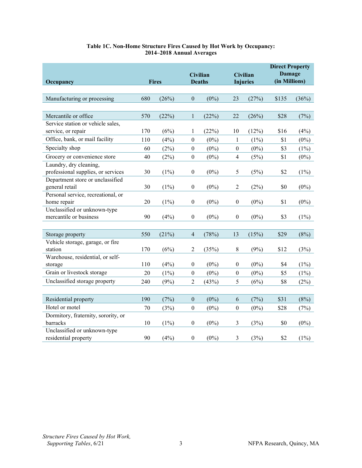| Occupancy                           | <b>Fires</b> |         |                  | <b>Civilian</b><br><b>Deaths</b> | <b>Civilian</b><br><b>Injuries</b> |         | <b>Direct Property</b><br><b>Damage</b><br>(in Millions) |         |
|-------------------------------------|--------------|---------|------------------|----------------------------------|------------------------------------|---------|----------------------------------------------------------|---------|
|                                     |              |         |                  |                                  |                                    |         |                                                          |         |
| Manufacturing or processing         | 680          | (26%)   | $\boldsymbol{0}$ | $(0\%)$                          | 23                                 | (27%)   | \$135                                                    | (36%)   |
|                                     |              |         |                  |                                  |                                    |         |                                                          |         |
| Mercantile or office                | 570          | (22%)   | $\mathbf{1}$     | (22%)                            | 22                                 | (26%)   | \$28                                                     | (7%)    |
| Service station or vehicle sales,   |              |         |                  |                                  |                                    |         |                                                          |         |
| service, or repair                  | 170          | (6%)    | $\mathbf{1}$     | (22%)                            | 10                                 | (12%)   | \$16                                                     | (4%)    |
| Office, bank, or mail facility      | 110          | (4%)    | $\boldsymbol{0}$ | $(0\%)$                          | $\mathbf{1}$                       | $(1\%)$ | \$1                                                      | $(0\%)$ |
| Specialty shop                      | 60           | (2%)    | $\boldsymbol{0}$ | $(0\%)$                          | $\boldsymbol{0}$                   | $(0\%)$ | \$3                                                      | $(1\%)$ |
| Grocery or convenience store        | 40           | $(2\%)$ | $\boldsymbol{0}$ | $(0\%)$                          | $\overline{4}$                     | (5%)    | \$1                                                      | $(0\%)$ |
| Laundry, dry cleaning,              |              |         |                  |                                  |                                    |         |                                                          |         |
| professional supplies, or services  | 30           | (1%)    | $\boldsymbol{0}$ | $(0\%)$                          | 5                                  | (5%)    | \$2                                                      | $(1\%)$ |
| Department store or unclassified    |              |         |                  |                                  |                                    |         |                                                          |         |
| general retail                      | 30           | $(1\%)$ | $\boldsymbol{0}$ | $(0\%)$                          | $\overline{c}$                     | (2%)    | \$0                                                      | $(0\%)$ |
| Personal service, recreational, or  |              |         |                  |                                  |                                    |         |                                                          |         |
| home repair                         | 20           | $(1\%)$ | $\boldsymbol{0}$ | $(0\%)$                          | $\boldsymbol{0}$                   | $(0\%)$ | \$1                                                      | $(0\%)$ |
| Unclassified or unknown-type        |              |         |                  |                                  |                                    |         |                                                          |         |
| mercantile or business              | 90           | (4%)    | $\boldsymbol{0}$ | $(0\%)$                          | $\boldsymbol{0}$                   | $(0\%)$ | \$3                                                      | (1%)    |
|                                     |              |         |                  |                                  |                                    |         |                                                          |         |
| Storage property                    | 550          | (21%)   | $\overline{4}$   | (78%)                            | 13                                 | (15%)   | \$29                                                     | (8%)    |
| Vehicle storage, garage, or fire    |              |         |                  |                                  |                                    |         |                                                          |         |
| station                             | 170          | (6%)    | $\overline{2}$   | (35%)                            | 8                                  | (9%)    | \$12                                                     | (3%)    |
| Warehouse, residential, or self-    |              |         |                  |                                  |                                    |         |                                                          |         |
| storage                             | 110          | (4%)    | $\boldsymbol{0}$ | $(0\%)$                          | $\boldsymbol{0}$                   | $(0\%)$ | \$4                                                      | $(1\%)$ |
| Grain or livestock storage          | 20           | $(1\%)$ | $\boldsymbol{0}$ | $(0\%)$                          | $\boldsymbol{0}$                   | $(0\%)$ | \$5                                                      | $(1\%)$ |
| Unclassified storage property       | 240          | (9%)    | $\overline{2}$   | (43%)                            | 5                                  | (6%)    | \$8                                                      | (2%)    |
|                                     |              |         |                  |                                  |                                    |         |                                                          |         |
| Residential property                | 190          | (7%)    | $\boldsymbol{0}$ | $(0\%)$                          | 6                                  | (7%)    | \$31                                                     | (8%)    |
| Hotel or motel                      | 70           | (3%)    | $\boldsymbol{0}$ | $(0\%)$                          | $\boldsymbol{0}$                   | $(0\%)$ | \$28                                                     | (7%)    |
| Dormitory, fraternity, sorority, or |              |         |                  |                                  |                                    |         |                                                          |         |
| barracks                            | 10           | $(1\%)$ | $\boldsymbol{0}$ | $(0\%)$                          | 3                                  | (3%)    | \$0                                                      | $(0\%)$ |
| Unclassified or unknown-type        |              |         |                  |                                  |                                    |         |                                                          |         |
| residential property                | 90           | (4%)    | $\boldsymbol{0}$ | $(0\%)$                          | 3                                  | (3%)    | \$2                                                      | $(1\%)$ |

#### **Table 1C. Non-Home Structure Fires Caused by Hot Work by Occupancy: 2014–2018 Annual Averages**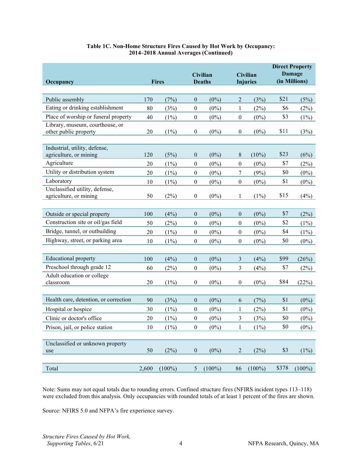| Occupancy                                                         | <b>Fires</b> |           |                  | Civilian<br><b>Deaths</b> |                  | Civilian<br><b>Injuries</b> | <b>Direct Property</b><br>Damage<br>(in Millions) |           |
|-------------------------------------------------------------------|--------------|-----------|------------------|---------------------------|------------------|-----------------------------|---------------------------------------------------|-----------|
| Public assembly                                                   | 170          | (7%)      | $\boldsymbol{0}$ | $(0\%)$                   | $\overline{2}$   | (3%)                        | \$21                                              | (5%)      |
| Eating or drinking establishment                                  | 80           | (3%)      | $\boldsymbol{0}$ | $(0\%)$                   | 1                | (2%)                        | \$6                                               | (2%)      |
| Place of worship or funeral property                              | 40           | $(1\%)$   | $\boldsymbol{0}$ | $(0\%)$                   | $\boldsymbol{0}$ | $(0\%)$                     | \$3                                               | $(1\%)$   |
| Library, museum, courthouse, or<br>other public property          | 20           | $(1\%)$   | $\boldsymbol{0}$ | $(0\%)$                   | $\boldsymbol{0}$ | $(0\%)$                     | \$11                                              | (3%)      |
| Industrial, utility, defense,<br>agriculture, or mining           | 120          | (5%)      | $\boldsymbol{0}$ | $(0\%)$                   | 8                | $(10\%)$                    | \$23                                              | (6%)      |
| Agriculture                                                       | 20           | $(1\%)$   | $\boldsymbol{0}$ | $(0\%)$                   | $\boldsymbol{0}$ | $(0\%)$                     | \$7                                               | (2%)      |
| Utility or distribution system                                    | 20           | $(1\%)$   | $\boldsymbol{0}$ | $(0\%)$                   | 7                | (9%)                        | \$0                                               | $(0\%)$   |
| Laboratory                                                        | 10           | $(1\%)$   | $\boldsymbol{0}$ | $(0\%)$                   | $\boldsymbol{0}$ | $(0\%)$                     | \$1                                               | $(0\%)$   |
| Unclassified utility, defense,<br>agriculture, or mining          | 50           | (2%)      | $\boldsymbol{0}$ | $(0\%)$                   | 1                | $(1\%)$                     | \$15                                              | (4%)      |
| Outside or special property<br>Construction site or oil/gas field | 100          | (4%)      | $\boldsymbol{0}$ | $(0\%)$                   | $\boldsymbol{0}$ | $(0\%)$<br>$(0\%)$          | \$7<br>\$2                                        | (2%)      |
| Bridge, tunnel, or outbuilding                                    | 50           | (2%)      | $\boldsymbol{0}$ | $(0\%)$                   | $\boldsymbol{0}$ |                             | \$4                                               | $(1\%)$   |
| Highway, street, or parking area                                  | 20           | $(1\%)$   | $\boldsymbol{0}$ | $(0\%)$                   | $\boldsymbol{0}$ | $(0\%)$                     | \$0                                               | $(1\%)$   |
|                                                                   | 10           | $(1\%)$   | $\boldsymbol{0}$ | $(0\%)$                   | $\boldsymbol{0}$ | $(0\%)$                     |                                                   | $(0\%)$   |
| <b>Educational property</b>                                       | 100          | (4%)      | $\boldsymbol{0}$ | $(0\%)$                   | 3                | (4%)                        | \$99                                              | (26%)     |
| Preschool through grade 12                                        | 60           | (2%)      | $\boldsymbol{0}$ | $(0\%)$                   | 3                | (4%)                        | \$7                                               | (2%)      |
| Adult education or college<br>classroom                           | 20           | $(1\%)$   | $\boldsymbol{0}$ | $(0\%)$                   | $\boldsymbol{0}$ | $(0\%)$                     | \$84                                              | (22%)     |
| Health care, detention, or correction                             | 90           | (3%)      | $\boldsymbol{0}$ | $(0\%)$                   | 6                | (7%)                        | \$1                                               | $(0\%)$   |
| Hospital or hospice                                               | 30           | $(1\%)$   | $\boldsymbol{0}$ | $(0\%)$                   | 1                | (2%)                        | \$1                                               | $(0\%)$   |
| Clinic or doctor's office                                         | 20           | $(1\%)$   | $\boldsymbol{0}$ | $(0\%)$                   | 3                | (3%)                        | \$0                                               | $(0\%)$   |
| Prison, jail, or police station                                   | $10\,$       | (1%)      | $\boldsymbol{0}$ | $(0\%)$                   | $\,1$            | $(1\%)$                     | \$0                                               | $(0\%)$   |
| Unclassified or unknown property<br>use                           | 50           | (2%)      | $\boldsymbol{0}$ | $(0\%)$                   | $\overline{2}$   | (2%)                        | \$3                                               | (1%)      |
| Total                                                             | 2,600        | $(100\%)$ | $\mathfrak{S}$   | $(100\%)$                 | 86               | $(100\%)$                   | \$378                                             | $(100\%)$ |

#### **Table 1C. Non-Home Structure Fires Caused by Hot Work by Occupancy: 2014–2018 Annual Averages (Continued)**

Note: Sums may not equal totals due to rounding errors. Confined structure fires (NFIRS incident types 113–118) were excluded from this analysis. Only occupancies with rounded totals of at least 1 percent of the fires are shown.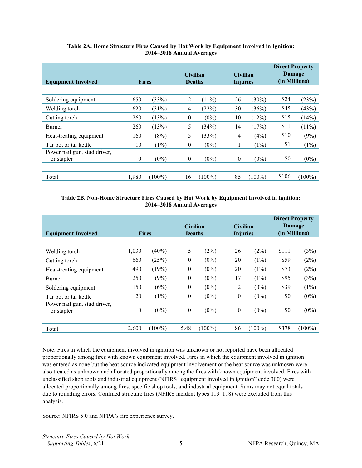<span id="page-5-0"></span>

| <b>Equipment Involved</b>    | <b>Fires</b> |           | <b>Civilian</b> | <b>Deaths</b> | <b>Civilian</b><br><b>Injuries</b> |           | <b>Direct Property</b><br>Damage<br>(in Millions) |           |
|------------------------------|--------------|-----------|-----------------|---------------|------------------------------------|-----------|---------------------------------------------------|-----------|
|                              |              |           |                 |               |                                    |           |                                                   |           |
| Soldering equipment          | 650          | (33%)     | 2               | $(11\%)$      | 26                                 | $(30\%)$  | \$24                                              | (23%)     |
| Welding torch                | 620          | (31%)     | 4               | (22%)         | 30                                 | (36%)     | \$45                                              | (43%)     |
| Cutting torch                | 260          | (13%)     | $\mathbf{0}$    | $(0\%)$       | 10                                 | (12%)     | \$15                                              | (14%)     |
| Burner                       | 260          | (13%)     | 5               | (34%)         | 14                                 | (17%)     | \$11                                              | $(11\%)$  |
| Heat-treating equipment      | 160          | (8%)      | 5               | (33%)         | $\overline{4}$                     | (4%)      | \$10                                              | (9%)      |
| Tar pot or tar kettle        | 10           | (1%)      | $\mathbf{0}$    | $(0\%)$       |                                    | $(1\%)$   | \$1                                               | (1%)      |
| Power nail gun, stud driver, |              |           |                 |               |                                    |           |                                                   |           |
| or stapler                   | $\theta$     | $(0\%)$   | $\mathbf{0}$    | $(0\%)$       | $\theta$                           | $(0\%)$   | \$0                                               | $(0\%)$   |
|                              |              |           |                 |               |                                    |           |                                                   |           |
| Total                        | 1,980        | $(100\%)$ | 16              | $(100\%)$     | 85                                 | $(100\%)$ | \$106                                             | $(100\%)$ |

#### **Table 2A. Home Structure Fires Caused by Hot Work by Equipment Involved in Ignition: 2014–2018 Annual Averages**

#### **Table 2B. Non-Home Structure Fires Caused by Hot Work by Equipment Involved in Ignition: 2014–2018 Annual Averages**

| <b>Equipment Involved</b>                  | <b>Fires</b>     |           | <b>Civilian</b>  | <b>Deaths</b> | <b>Civilian</b><br><b>Injuries</b> |           | <b>Direct Property</b><br><b>Damage</b><br>(in Millions) |           |
|--------------------------------------------|------------------|-----------|------------------|---------------|------------------------------------|-----------|----------------------------------------------------------|-----------|
| Welding torch                              | 1,030            | (40%)     | 5                | (2%)          | 26                                 | (2%)      | \$111                                                    | (3%)      |
| Cutting torch                              | 660              | (25%)     | $\mathbf{0}$     | $(0\%)$       | 20                                 | $(1\%)$   | \$59                                                     | (2%)      |
| Heat-treating equipment                    | 490              | (19%)     | $\mathbf{0}$     | $(0\%)$       | 20                                 | $(1\%)$   | \$73                                                     | (2%)      |
| Burner                                     | 250              | (9%)      | $\overline{0}$   | $(0\%)$       | 17                                 | $(1\%)$   | \$95                                                     | (3%)      |
| Soldering equipment                        | 150              | (6%)      | $\boldsymbol{0}$ | $(0\%)$       | 2                                  | $(0\%)$   | \$39                                                     | (1%)      |
| Tar pot or tar kettle                      | 20               | $(1\%)$   | $\mathbf{0}$     | $(0\%)$       | $\theta$                           | $(0\%)$   | \$0                                                      | $(0\%)$   |
| Power nail gun, stud driver,<br>or stapler | $\boldsymbol{0}$ | $(0\%)$   | $\overline{0}$   | $(0\%)$       | $\mathbf{0}$                       | $(0\%)$   | \$0                                                      | $(0\%)$   |
| Total                                      | 2,600            | $(100\%)$ | 5.48             | $(100\%)$     | 86                                 | $(100\%)$ | \$378                                                    | $(100\%)$ |

Note: Fires in which the equipment involved in ignition was unknown or not reported have been allocated proportionally among fires with known equipment involved. Fires in which the equipment involved in ignition was entered as none but the heat source indicated equipment involvement or the heat source was unknown were also treated as unknown and allocated proportionally among the fires with known equipment involved. Fires with unclassified shop tools and industrial equipment (NFIRS "equipment involved in ignition" code 300) were allocated proportionally among fires, specific shop tools, and industrial equipment. Sums may not equal totals due to rounding errors. Confined structure fires (NFIRS incident types 113–118) were excluded from this analysis.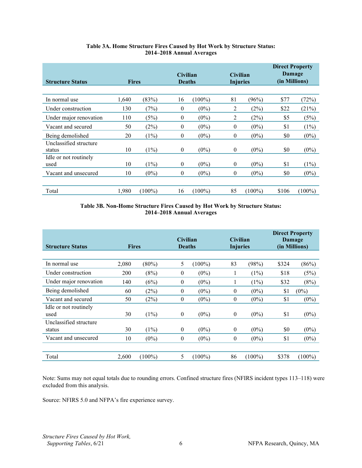<span id="page-6-0"></span>

| <b>Structure Status</b>          | <b>Fires</b> |           | <b>Civilian</b><br><b>Deaths</b> |           | <b>Civilian</b><br><b>Injuries</b> |           | <b>Direct Property</b><br>Damage<br>(in Millions) |           |
|----------------------------------|--------------|-----------|----------------------------------|-----------|------------------------------------|-----------|---------------------------------------------------|-----------|
|                                  |              |           |                                  |           |                                    |           |                                                   |           |
| In normal use                    | 1,640        | (83%)     | 16                               | $(100\%)$ | 81                                 | (96%)     | \$77                                              | (72%)     |
| Under construction               | 130          | (7%)      | $\mathbf{0}$                     | $(0\%)$   | 2                                  | (2%)      | \$22                                              | (21%)     |
| Under major renovation           | 110          | (5%)      | 0                                | $(0\%)$   | 2                                  | (2%)      | \$5                                               | (5%)      |
| Vacant and secured               | 50           | (2%)      | $\theta$                         | $(0\%)$   | $\theta$                           | $(0\%)$   | \$1                                               | (1%)      |
| Being demolished                 | 20           | $(1\%)$   | 0                                | $(0\%)$   | $\boldsymbol{0}$                   | $(0\%)$   | \$0                                               | $(0\%)$   |
| Unclassified structure<br>status | 10           | $(1\%)$   | $\mathbf{0}$                     | $(0\%)$   | $\mathbf{0}$                       | $(0\%)$   | \$0                                               | $(0\%)$   |
| Idle or not routinely            |              |           |                                  |           |                                    |           |                                                   |           |
| used                             | 10           | $(1\%)$   | $\mathbf{0}$                     | $(0\%)$   | $\mathbf{0}$                       | $(0\%)$   | \$1                                               | $(1\%)$   |
| Vacant and unsecured             | 10           | $(0\%)$   | $\mathbf{0}$                     | $(0\%)$   | $\mathbf{0}$                       | $(0\%)$   | \$0                                               | $(0\%)$   |
|                                  |              |           |                                  |           |                                    |           |                                                   |           |
| Total                            | 1,980        | $(100\%)$ | 16                               | $(100\%)$ | 85                                 | $(100\%)$ | \$106                                             | $(100\%)$ |

#### **Table 3A. Home Structure Fires Caused by Hot Work by Structure Status: 2014–2018 Annual Averages**

#### **Table 3B. Non-Home Structure Fires Caused by Hot Work by Structure Status: 2014–2018 Annual Averages**

| <b>Structure Status</b>       | <b>Fires</b> |           | <b>Civilian</b><br><b>Deaths</b> |           | <b>Civilian</b><br><b>Injuries</b> |           | <b>Direct Property</b><br>Damage<br>(in Millions) |           |  |
|-------------------------------|--------------|-----------|----------------------------------|-----------|------------------------------------|-----------|---------------------------------------------------|-----------|--|
| In normal use                 | 2,080        | $(80\%)$  | 5                                | $(100\%)$ | 83                                 | (98%)     | \$324                                             | (86%)     |  |
| Under construction            | 200          | (8%)      | $\mathbf{0}$                     | $(0\%)$   | $\mathbf{I}$                       | $(1\%)$   | \$18                                              | (5%)      |  |
| Under major renovation        | 140          | (6%)      | $\mathbf{0}$                     | $(0\%)$   | $\mathbf{I}$                       | $(1\%)$   | \$32                                              | (8%)      |  |
| Being demolished              | 60           | (2%)      | $\theta$                         | $(0\%)$   | $\theta$                           | $(0\%)$   | \$1                                               | $(0\%)$   |  |
| Vacant and secured            | 50           | (2%)      | $\mathbf{0}$                     | $(0\%)$   | $\mathbf{0}$                       | $(0\%)$   | \$1                                               | $(0\%)$   |  |
| Idle or not routinely<br>used | 30           | $(1\%)$   | $\mathbf{0}$                     | $(0\%)$   | $\mathbf{0}$                       | $(0\%)$   | \$1                                               | $(0\%)$   |  |
| Unclassified structure        |              |           |                                  |           |                                    |           |                                                   |           |  |
| status                        | 30           | $(1\%)$   | $\mathbf{0}$                     | $(0\%)$   | $\mathbf{0}$                       | $(0\%)$   | \$0                                               | $(0\%)$   |  |
| Vacant and unsecured          | 10           | $(0\%)$   | $\boldsymbol{0}$                 | $(0\%)$   | $\mathbf{0}$                       | $(0\%)$   | \$1                                               | $(0\%)$   |  |
| Total                         | 2,600        | $(100\%)$ | 5                                | $(100\%)$ | 86                                 | $(100\%)$ | \$378                                             | $(100\%)$ |  |

Note: Sums may not equal totals due to rounding errors. Confined structure fires (NFIRS incident types 113–118) were excluded from this analysis.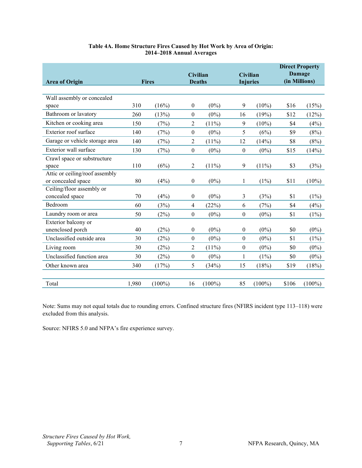<span id="page-7-0"></span>

| <b>Area of Origin</b>          | <b>Fires</b> |           | <b>Civilian</b><br><b>Deaths</b> |           | Civilian<br><b>Injuries</b> |           | <b>Direct Property</b><br>Damage<br>(in Millions) |           |
|--------------------------------|--------------|-----------|----------------------------------|-----------|-----------------------------|-----------|---------------------------------------------------|-----------|
|                                |              |           |                                  |           |                             |           |                                                   |           |
| Wall assembly or concealed     |              |           |                                  |           |                             |           |                                                   |           |
| space                          | 310          | (16%)     | $\boldsymbol{0}$                 | $(0\%)$   | 9                           | $(10\%)$  | \$16                                              | (15%)     |
| Bathroom or lavatory           | 260          | (13%)     | $\boldsymbol{0}$                 | $(0\%)$   | 16                          | (19%)     | \$12                                              | (12%)     |
| Kitchen or cooking area        | 150          | (7%)      | 2                                | $(11\%)$  | 9                           | $(10\%)$  | \$4                                               | (4%)      |
| Exterior roof surface          | 140          | (7%)      | $\boldsymbol{0}$                 | $(0\%)$   | 5                           | (6%)      | \$9                                               | (8%)      |
| Garage or vehicle storage area | 140          | (7%)      | 2                                | $(11\%)$  | 12                          | (14%)     | \$8                                               | (8%)      |
| Exterior wall surface          | 130          | (7%)      | $\boldsymbol{0}$                 | $(0\%)$   | $\boldsymbol{0}$            | $(0\%)$   | \$15                                              | (14%)     |
| Crawl space or substructure    |              |           |                                  |           |                             |           |                                                   |           |
| space                          | 110          | (6%)      | $\overline{2}$                   | $(11\%)$  | 9                           | $(11\%)$  | \$3                                               | (3%)      |
| Attic or ceiling/roof assembly |              |           |                                  |           |                             |           |                                                   |           |
| or concealed space             | 80           | (4%)      | $\mathbf{0}$                     | $(0\%)$   | 1                           | $(1\%)$   | \$11                                              | $(10\%)$  |
| Ceiling/floor assembly or      |              |           |                                  |           |                             |           |                                                   |           |
| concealed space                | 70           | (4%)      | $\boldsymbol{0}$                 | $(0\%)$   | 3                           | (3%)      | \$1                                               | $(1\%)$   |
| Bedroom                        | 60           | (3%)      | 4                                | (22%)     | 6                           | (7%)      | \$4                                               | (4%)      |
| Laundry room or area           | 50           | (2%)      | $\boldsymbol{0}$                 | $(0\%)$   | $\boldsymbol{0}$            | $(0\%)$   | \$1                                               | (1%)      |
| Exterior balcony or            |              |           |                                  |           |                             |           |                                                   |           |
| unenclosed porch               | 40           | (2%)      | $\boldsymbol{0}$                 | $(0\%)$   | $\boldsymbol{0}$            | $(0\%)$   | \$0                                               | $(0\%)$   |
| Unclassified outside area      | 30           | (2%)      | $\boldsymbol{0}$                 | $(0\%)$   | $\boldsymbol{0}$            | $(0\%)$   | \$1                                               | (1%)      |
| Living room                    | 30           | (2%)      | $\overline{c}$                   | $(11\%)$  | $\boldsymbol{0}$            | $(0\%)$   | \$0                                               | $(0\%)$   |
| Unclassified function area     | 30           | (2%)      | $\boldsymbol{0}$                 | $(0\%)$   | 1                           | $(1\%)$   | \$0                                               | $(0\%)$   |
| Other known area               | 340          | (17%)     | 5                                | (34%)     | 15                          | (18%)     | \$19                                              | (18%)     |
|                                |              |           |                                  |           |                             |           |                                                   |           |
| Total                          | 1,980        | $(100\%)$ | 16                               | $(100\%)$ | 85                          | $(100\%)$ | \$106                                             | $(100\%)$ |

#### **Table 4A. Home Structure Fires Caused by Hot Work by Area of Origin: 2014–2018 Annual Averages**

Note: Sums may not equal totals due to rounding errors. Confined structure fires (NFIRS incident type 113–118) were excluded from this analysis.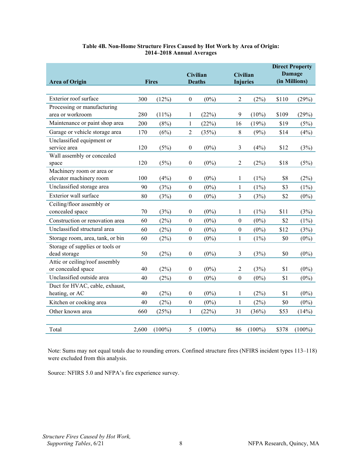| <b>Area of Origin</b>                                | <b>Fires</b> |           |                  | <b>Civilian</b><br><b>Deaths</b> | <b>Civilian</b><br><b>Injuries</b> |           | <b>Direct Property</b><br>Damage<br>(in Millions) |           |
|------------------------------------------------------|--------------|-----------|------------------|----------------------------------|------------------------------------|-----------|---------------------------------------------------|-----------|
|                                                      |              |           |                  |                                  |                                    |           |                                                   |           |
| Exterior roof surface                                | 300          | (12%)     | $\mathbf{0}$     | $(0\%)$                          | 2                                  | (2%)      | \$110                                             | (29%)     |
| Processing or manufacturing<br>area or workroom      | 280          | (11%)     | 1                | (22%)                            | 9                                  | $(10\%)$  | \$109                                             | (29%)     |
| Maintenance or paint shop area                       | 200          | (8%)      | 1                | (22%)                            | 16                                 | (19%)     | \$19                                              | (5%)      |
| Garage or vehicle storage area                       | 170          | (6%)      | 2                | (35%)                            | $8\,$                              | (9%)      | \$14                                              | (4%)      |
| Unclassified equipment or<br>service area            | 120          | (5%)      | $\boldsymbol{0}$ | $(0\%)$                          | 3                                  | (4%)      | \$12                                              | (3%)      |
| Wall assembly or concealed<br>space                  | 120          | (5%)      | $\boldsymbol{0}$ | $(0\%)$                          | $\overline{c}$                     | (2%)      | \$18                                              | (5%)      |
| Machinery room or area or<br>elevator machinery room | 100          | (4%)      | $\boldsymbol{0}$ | $(0\%)$                          | 1                                  | (1%)      | \$8                                               | (2%)      |
| Unclassified storage area                            | 90           | (3%)      | $\boldsymbol{0}$ | $(0\%)$                          | $\mathbf{1}$                       | $(1\%)$   | \$3                                               | (1%)      |
| Exterior wall surface                                | 80           | (3%)      | $\boldsymbol{0}$ | $(0\%)$                          | 3                                  | (3%)      | \$2                                               | $(0\%)$   |
| Ceiling/floor assembly or<br>concealed space         | 70           | (3%)      | $\boldsymbol{0}$ | $(0\%)$                          | 1                                  | (1%)      | \$11                                              | (3%)      |
| Construction or renovation area                      | 60           | (2%)      | $\boldsymbol{0}$ | $(0\%)$                          | $\boldsymbol{0}$                   | $(0\%)$   | \$2                                               | (1%)      |
| Unclassified structural area                         | 60           | (2%)      | $\boldsymbol{0}$ | $(0\%)$                          | $\boldsymbol{0}$                   | $(0\%)$   | \$12                                              | (3%)      |
| Storage room, area, tank, or bin                     | 60           | (2%)      | $\boldsymbol{0}$ | $(0\%)$                          | $\mathbf{1}$                       | $(1\%)$   | \$0                                               | $(0\%)$   |
| Storage of supplies or tools or<br>dead storage      | 50           | (2%)      | $\boldsymbol{0}$ | $(0\%)$                          | 3                                  | (3%)      | \$0                                               | $(0\%)$   |
| Attic or ceiling/roof assembly<br>or concealed space | 40           | (2%)      | $\boldsymbol{0}$ | $(0\%)$                          | $\overline{2}$                     | (3%)      | \$1                                               | $(0\%)$   |
| Unclassified outside area                            | 40           | (2%)      | $\boldsymbol{0}$ | $(0\%)$                          | $\mathbf{0}$                       | $(0\%)$   | \$1                                               | $(0\%)$   |
| Duct for HVAC, cable, exhaust,<br>heating, or AC     | 40           | (2%)      | $\boldsymbol{0}$ | $(0\%)$                          | 1                                  | (2%)      | \$1                                               | $(0\%)$   |
| Kitchen or cooking area                              | 40           | (2%)      | $\boldsymbol{0}$ | $(0\%)$                          | 1                                  | (2%)      | \$0                                               | $(0\%)$   |
| Other known area                                     | 660          | (25%)     | $\mathbf{1}$     | (22%)                            | 31                                 | (36%)     | \$53                                              | (14%)     |
|                                                      |              |           |                  |                                  |                                    |           |                                                   |           |
| Total                                                | 2,600        | $(100\%)$ | 5                | $(100\%)$                        | 86                                 | $(100\%)$ | \$378                                             | $(100\%)$ |

#### **Table 4B. Non-Home Structure Fires Caused by Hot Work by Area of Origin: 2014–2018 Annual Averages**

Note: Sums may not equal totals due to rounding errors. Confined structure fires (NFIRS incident types 113–118) were excluded from this analysis.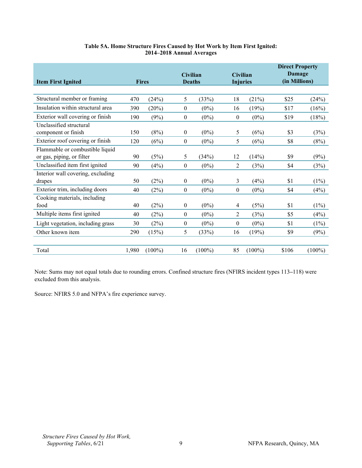<span id="page-9-0"></span>

| <b>Item First Ignited</b>         | <b>Fires</b> |           |                  | <b>Civilian</b><br><b>Deaths</b> | <b>Civilian</b><br><b>Injuries</b> |           | <b>Direct Property</b><br><b>Damage</b><br>(in Millions) |           |
|-----------------------------------|--------------|-----------|------------------|----------------------------------|------------------------------------|-----------|----------------------------------------------------------|-----------|
|                                   |              |           |                  |                                  |                                    |           |                                                          |           |
| Structural member or framing      | 470          | (24%)     | 5                | (33%)                            | 18                                 | (21%)     | \$25                                                     | (24%)     |
| Insulation within structural area | 390          | (20%)     | $\boldsymbol{0}$ | $(0\%)$                          | 16                                 | (19%)     | \$17                                                     | (16%)     |
| Exterior wall covering or finish  | 190          | (9%)      | $\mathbf{0}$     | $(0\%)$                          | $\mathbf{0}$                       | $(0\%)$   | \$19                                                     | (18%)     |
| Unclassified structural           |              |           |                  |                                  |                                    |           |                                                          |           |
| component or finish               | 150          | (8%)      | $\mathbf{0}$     | $(0\%)$                          | 5                                  | (6%)      | \$3                                                      | (3%)      |
| Exterior roof covering or finish  | 120          | (6%)      | $\boldsymbol{0}$ | $(0\%)$                          | 5                                  | (6%)      | \$8                                                      | (8%)      |
| Flammable or combustible liquid   |              |           |                  |                                  |                                    |           |                                                          |           |
| or gas, piping, or filter         | 90           | (5%)      | 5                | (34%)                            | 12                                 | (14%)     | \$9                                                      | (9%)      |
| Unclassified item first ignited   | 90           | (4%)      | $\mathbf{0}$     | $(0\%)$                          | 2                                  | (3%)      | \$4                                                      | (3%)      |
| Interior wall covering, excluding |              |           |                  |                                  |                                    |           |                                                          |           |
| drapes                            | 50           | (2%)      | $\mathbf{0}$     | $(0\%)$                          | 3                                  | (4%)      | \$1                                                      | $(1\%)$   |
| Exterior trim, including doors    | 40           | (2%)      | $\boldsymbol{0}$ | $(0\%)$                          | $\mathbf{0}$                       | $(0\%)$   | \$4                                                      | (4%)      |
| Cooking materials, including      |              |           |                  |                                  |                                    |           |                                                          |           |
| food                              | 40           | (2%)      | $\boldsymbol{0}$ | $(0\%)$                          | 4                                  | (5%)      | \$1                                                      | $(1\%)$   |
| Multiple items first ignited      | 40           | (2%)      | $\boldsymbol{0}$ | $(0\%)$                          | $\overline{2}$                     | (3%)      | \$5                                                      | (4%)      |
| Light vegetation, including grass | 30           | (2%)      | $\boldsymbol{0}$ | $(0\%)$                          | $\boldsymbol{0}$                   | $(0\%)$   | \$1                                                      | (1%)      |
| Other known item                  | 290          | (15%)     | 5                | (33%)                            | 16                                 | (19%)     | \$9                                                      | (9%)      |
|                                   |              |           |                  |                                  |                                    |           |                                                          |           |
| Total                             | 1,980        | $(100\%)$ | 16               | $(100\%)$                        | 85                                 | $(100\%)$ | \$106                                                    | $(100\%)$ |

#### **Table 5A. Home Structure Fires Caused by Hot Work by Item First Ignited: 2014–2018 Annual Averages**

Note: Sums may not equal totals due to rounding errors. Confined structure fires (NFIRS incident types 113**–**118) were excluded from this analysis.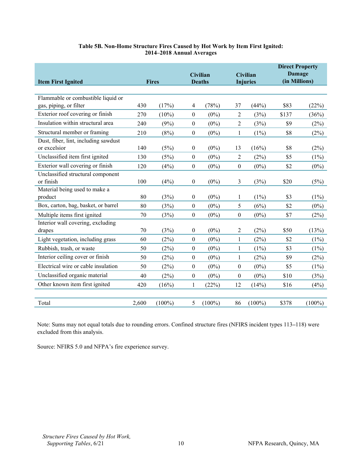| <b>Item First Ignited</b>            | <b>Fires</b> |           | <b>Civilian</b><br><b>Deaths</b> |           | <b>Civilian</b><br><b>Injuries</b> |           | <b>Direct Property</b><br>Damage<br>(in Millions) |           |
|--------------------------------------|--------------|-----------|----------------------------------|-----------|------------------------------------|-----------|---------------------------------------------------|-----------|
|                                      |              |           |                                  |           |                                    |           |                                                   |           |
| Flammable or combustible liquid or   |              |           |                                  |           |                                    |           |                                                   |           |
| gas, piping, or filter               | 430          | (17%)     | 4                                | (78%)     | 37                                 | (44%)     | \$83                                              | (22%)     |
| Exterior roof covering or finish     | 270          | $(10\%)$  | $\boldsymbol{0}$                 | $(0\%)$   | $\overline{2}$                     | (3%)      | \$137                                             | (36%)     |
| Insulation within structural area    | 240          | (9%)      | $\mathbf{0}$                     | $(0\%)$   | $\overline{c}$                     | (3%)      | \$9                                               | (2%)      |
| Structural member or framing         | 210          | (8%)      | $\boldsymbol{0}$                 | $(0\%)$   | $\mathbf{1}$                       | $(1\%)$   | \$8                                               | (2%)      |
| Dust, fiber, lint, including sawdust |              |           |                                  |           |                                    |           |                                                   |           |
| or excelsior                         | 140          | (5%)      | 0                                | $(0\%)$   | 13                                 | (16%)     | \$8                                               | (2%)      |
| Unclassified item first ignited      | 130          | (5%)      | $\boldsymbol{0}$                 | $(0\%)$   | $\overline{2}$                     | (2%)      | \$5                                               | $(1\%)$   |
| Exterior wall covering or finish     | 120          | (4%)      | $\mathbf{0}$                     | $(0\%)$   | $\boldsymbol{0}$                   | $(0\%)$   | \$2                                               | $(0\%)$   |
| Unclassified structural component    |              |           |                                  |           |                                    |           |                                                   |           |
| or finish                            | 100          | (4%)      | 0                                | $(0\%)$   | 3                                  | (3%)      | \$20                                              | (5%)      |
| Material being used to make a        |              |           |                                  |           |                                    |           |                                                   |           |
| product                              | 80           | (3%)      | $\mathbf{0}$                     | $(0\%)$   | 1                                  | $(1\%)$   | \$3                                               | $(1\%)$   |
| Box, carton, bag, basket, or barrel  | 80           | (3%)      | $\boldsymbol{0}$                 | $(0\%)$   | 5                                  | (6%)      | \$2                                               | $(0\%)$   |
| Multiple items first ignited         | 70           | (3%)      | $\boldsymbol{0}$                 | $(0\%)$   | $\boldsymbol{0}$                   | $(0\%)$   | \$7                                               | (2%)      |
| Interior wall covering, excluding    |              |           |                                  |           |                                    |           |                                                   |           |
| drapes                               | 70           | (3%)      | $\theta$                         | $(0\%)$   | 2                                  | (2%)      | \$50                                              | (13%)     |
| Light vegetation, including grass    | 60           | (2%)      | $\boldsymbol{0}$                 | $(0\%)$   | 1                                  | (2%)      | \$2                                               | $(1\%)$   |
| Rubbish, trash, or waste             | 50           | (2%)      | $\boldsymbol{0}$                 | $(0\%)$   | 1                                  | $(1\%)$   | \$3                                               | $(1\%)$   |
| Interior ceiling cover or finish     | 50           | (2%)      | $\mathbf{0}$                     | $(0\%)$   | 1                                  | (2%)      | \$9                                               | (2%)      |
| Electrical wire or cable insulation  | 50           | (2%)      | $\boldsymbol{0}$                 | $(0\%)$   | $\boldsymbol{0}$                   | $(0\%)$   | \$5                                               | $(1\%)$   |
| Unclassified organic material        | 40           | (2%)      | $\mathbf{0}$                     | $(0\%)$   | $\boldsymbol{0}$                   | $(0\%)$   | \$10                                              | (3%)      |
| Other known item first ignited       | 420          | (16%)     | 1                                | (22%)     | 12                                 | (14%)     | \$16                                              | (4%)      |
|                                      |              |           |                                  |           |                                    |           |                                                   |           |
| Total                                | 2,600        | $(100\%)$ | 5                                | $(100\%)$ | 86                                 | $(100\%)$ | \$378                                             | $(100\%)$ |

#### **Table 5B. Non-Home Structure Fires Caused by Hot Work by Item First Ignited: 2014–2018 Annual Averages**

Note: Sums may not equal totals due to rounding errors. Confined structure fires (NFIRS incident types 113**–**118) were excluded from this analysis.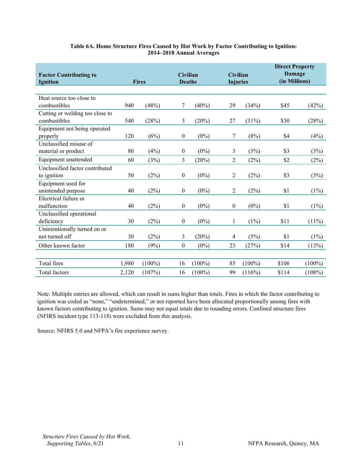<span id="page-11-0"></span>

| <b>Factor Contributing to</b><br><b>Ignition</b> | <b>Fires</b> |           |                  | <b>Civilian</b><br><b>Deaths</b> |                  | <b>Civilian</b><br><b>Injuries</b> |       | <b>Direct Property</b><br>Damage<br>(in Millions) |  |
|--------------------------------------------------|--------------|-----------|------------------|----------------------------------|------------------|------------------------------------|-------|---------------------------------------------------|--|
|                                                  |              |           |                  |                                  |                  |                                    |       |                                                   |  |
| Heat source too close to                         |              |           |                  |                                  |                  |                                    |       |                                                   |  |
| combustibles                                     | 940          | (48%)     | 7                | $(40\%)$                         | 29               | (34%)                              | \$45  | (42%)                                             |  |
| Cutting or welding too close to                  |              |           |                  |                                  |                  |                                    |       |                                                   |  |
| combustibles                                     | 540          | (28%)     | 3                | (20%)                            | 27               | (31%)                              | \$30  | (28%)                                             |  |
| Equipment not being operated                     |              |           |                  |                                  |                  |                                    |       |                                                   |  |
| properly                                         | 120          | (6%)      | 0                | $(0\%)$                          | 7                | (8%)                               | \$4   | (4%)                                              |  |
| Unclassified misuse of                           |              |           |                  |                                  |                  |                                    |       |                                                   |  |
| material or product                              | 80           | (4%)      | $\boldsymbol{0}$ | $(0\%)$                          | 3                | (3%)                               | \$3   | (3%)                                              |  |
| Equipment unattended                             | 60           | (3%)      | 3                | (20%)                            | 2                | (2%)                               | \$2   | (2%)                                              |  |
| Unclassified factor contributed                  |              |           |                  |                                  |                  |                                    |       |                                                   |  |
| to ignition                                      | 50           | (2%)      | $\boldsymbol{0}$ | $(0\%)$                          | 2                | (2%)                               | \$3   | (3%)                                              |  |
| Equipment used for                               |              |           |                  |                                  |                  |                                    |       |                                                   |  |
| unintended purpose                               | 40           | (2%)      | 0                | $(0\%)$                          | 2                | (2%)                               | \$1   | $(1\%)$                                           |  |
| Electrical failure or                            |              |           |                  |                                  |                  |                                    |       |                                                   |  |
| malfunction                                      | 40           | (2%)      | $\boldsymbol{0}$ | $(0\%)$                          | $\boldsymbol{0}$ | $(0\%)$                            | \$1   | $(1\%)$                                           |  |
| Unclassified operational                         |              |           |                  |                                  |                  |                                    |       |                                                   |  |
| deficiency                                       | 30           | (2%)      | $\boldsymbol{0}$ | $(0\%)$                          | 1                | $(1\%)$                            | \$11  | $(11\%)$                                          |  |
| Unintentionally turned on or                     |              |           |                  |                                  |                  |                                    |       |                                                   |  |
| not turned off                                   | 30           | (2%)      | 3                | (20%)                            | 4                | (5%)                               | \$1   | $(1\%)$                                           |  |
| Other known factor                               | 180          | (9%)      | 0                | $(0\%)$                          | 23               | (27%)                              | \$14  | (13%)                                             |  |
|                                                  |              |           |                  |                                  |                  |                                    |       |                                                   |  |
| Total fires                                      | 1,980        | $(100\%)$ | 16               | $(100\%)$                        | 85               | $(100\%)$                          | \$106 | $(100\%)$                                         |  |
| Total factors                                    | 2,120        | (107%)    | 16               | $(100\%)$                        | 99               | (116%)                             | \$114 | (108%)                                            |  |

#### **Table 6A. Home Structure Fires Caused by Hot Work by Factor Contributing to Ignition: 2014–2018 Annual Averages**

Note: Multiple entries are allowed, which can result in sums higher than totals. Fires in which the factor contributing to ignition was coded as "none," "undetermined," or not reported have been allocated proportionally among fires with known factors contributing to ignition. Sums may not equal totals due to rounding errors. Confined structure fires (NFIRS incident type 113-118) were excluded from this analysis.